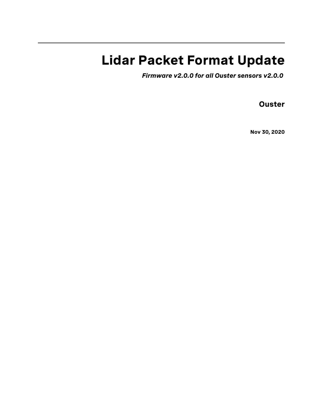## **Lidar Packet Format Update**

*Firmware v2.0.0 for all Ouster sensors v2.0.0*

**Ouster**

**Nov 30, 2020**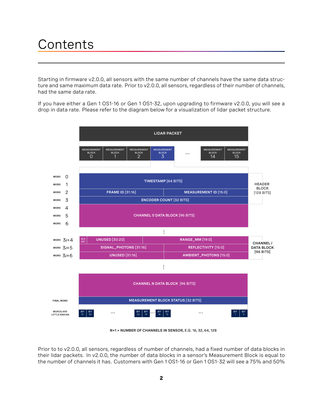## **Contents**

Starting in firmware v2.0.0, all sensors with the same number of channels have the same data structure and same maximum data rate. Prior to v2.0.0, all sensors, regardless of their number of channels, had the same data rate.

If you have either a Gen 1 OS1-16 or Gen 1 OS1-32, upon upgrading to firmware v2.0.0, you will see a drop in data rate. Please refer to the diagram below for a visualization of lidar packet structure.



**N+1 = NUMBER OF CHANNELS IN SENSOR,** E.G. 16, 32, 64, 128

Prior to to v2.0.0, all sensors, regardless of number of channels, had a fixed number of data blocks in their lidar packets. In v2.0.0, the number of data blocks in a sensor's Measurement Block is equal to the number of channels it has. Customers with Gen 1 OS1-16 or Gen 1 OS1-32 will see a 75% and 50%